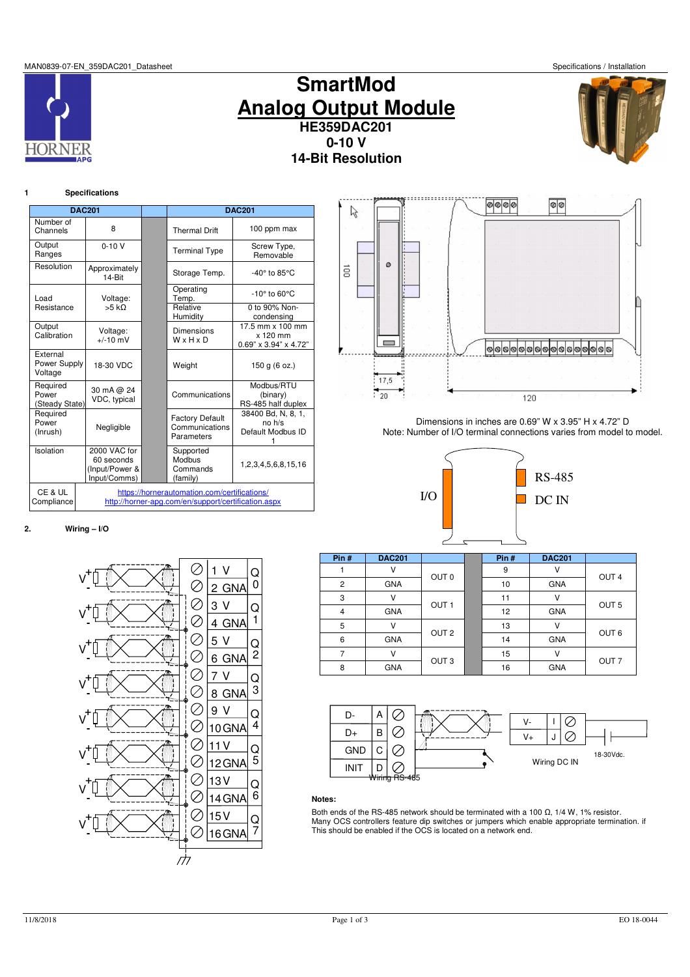MAN0839-07-EN\_359DAC201\_Datasheet Specifications / Installation







## **1 Specifications**

**HORNF** 

|                                     | <b>DAC201</b>                                                                                       |  | <b>DAC201</b>                                          |                                                            |  |  |
|-------------------------------------|-----------------------------------------------------------------------------------------------------|--|--------------------------------------------------------|------------------------------------------------------------|--|--|
| Number of<br>Channels               | 8                                                                                                   |  | <b>Thermal Drift</b>                                   | 100 ppm max                                                |  |  |
| Output<br>Ranges                    | $0 - 10V$                                                                                           |  | Screw Type,<br><b>Terminal Type</b><br>Removable       |                                                            |  |  |
| Resolution                          | Approximately<br>14-Bit                                                                             |  | Storage Temp.                                          | $-40^\circ$ to 85 $\degree$ C                              |  |  |
| Load                                | Voltage:                                                                                            |  | Operating<br>Temp.                                     | $-10^\circ$ to 60 $\degree$ C                              |  |  |
| Resistance                          | 55 kO                                                                                               |  | Relative<br>Humidity                                   | 0 to 90% Non-<br>condensing                                |  |  |
| Output<br>Calibration               | Voltage:<br>$+/-10$ mV                                                                              |  | Dimensions<br>WxHxD                                    | 17.5 mm x 100 mm<br>$x 120$ mm<br>$0.69$ " x 3.94" x 4.72" |  |  |
| External<br>Power Supply<br>Voltage | 18-30 VDC                                                                                           |  | Weight                                                 | 150 g (6 oz.)                                              |  |  |
| Required<br>Power<br>(Steady State) | 30 mA @ 24<br>VDC, typical                                                                          |  | Communications                                         | Modbus/RTU<br>(binary)<br>RS-485 half duplex               |  |  |
| Required<br>Power<br>(Inrush)       | Negligible                                                                                          |  | <b>Factory Default</b><br>Communications<br>Parameters | 38400 Bd. N. 8. 1.<br>no h/s<br>Default Modbus ID          |  |  |
| Isolation                           | 2000 VAC for<br>60 seconds<br>(Input/Power &<br>Input/Comms)                                        |  | Supported<br>Modbus<br>Commands<br>(family)            | 1,2,3,4,5,6,8,15,16                                        |  |  |
| CE & UL<br>Compliance               | https://hornerautomation.com/certifications/<br>http://horner-apg.com/en/support/certification.aspx |  |                                                        |                                                            |  |  |



Dimensions in inches are 0.69" W x 3.95" H x 4.72" D Note: Number of I/O terminal connections varies from model to model.



# **2. Wiring – I/O**



| Pin#           | <b>DAC201</b> |                  | Pin# | <b>DAC201</b> |                  |
|----------------|---------------|------------------|------|---------------|------------------|
|                |               | OUT <sub>0</sub> | 9    |               | OUT <sub>4</sub> |
| $\overline{c}$ | <b>GNA</b>    |                  | 10   | <b>GNA</b>    |                  |
| 3              | ν             |                  | 11   | ν             |                  |
| 4              | <b>GNA</b>    | OUT <sub>1</sub> | 12   | <b>GNA</b>    | OUT <sub>5</sub> |
| 5              | ٧             |                  | 13   | ν             |                  |
| 6              | <b>GNA</b>    | OUT <sub>2</sub> | 14   | <b>GNA</b>    | OUT <sub>6</sub> |
|                | V             |                  | 15   | ν             |                  |
| 8              | GNA           | OUT <sub>3</sub> | 16   | <b>GNA</b>    | OUT <sub>7</sub> |



# **Notes:**

Both ends of the RS-485 network should be terminated with a 100  $\Omega$ , 1/4 W, 1% resistor. Many OCS controllers feature dip switches or jumpers which enable appropriate termination. if This should be enabled if the OCS is located on a network end.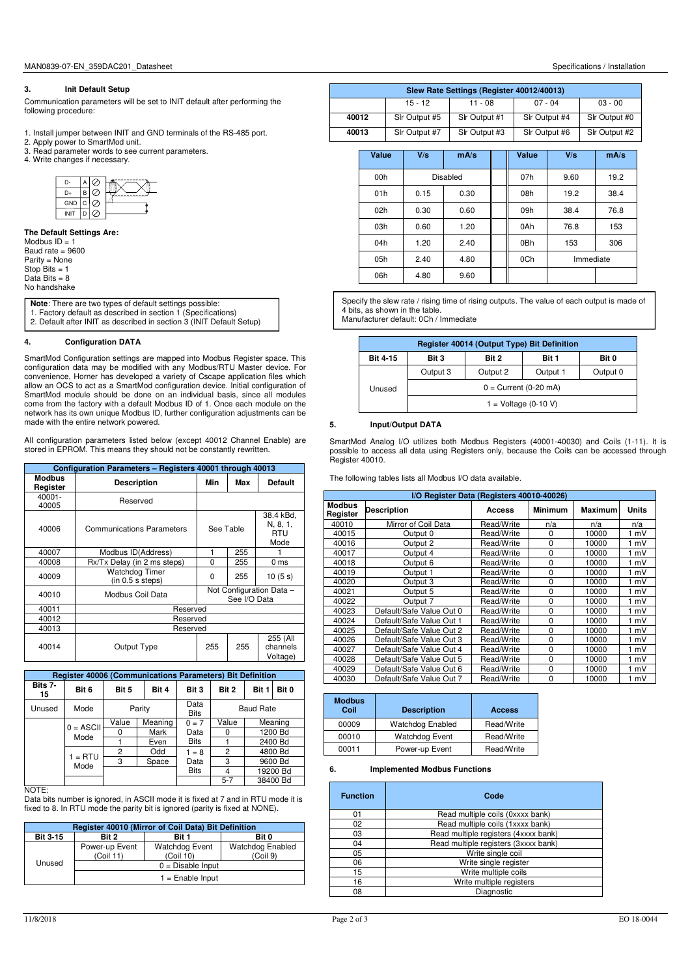## **3. Init Default Setup**

Communication parameters will be set to INIT default after performing the following procedure:

- 1. Install jumper between INIT and GND terminals of the RS-485 port.
- 2. Apply power to SmartMod unit.
- 3. Read parameter words to see current parameters.
- 4. Write changes if necessary.



**The Default Settings Are:**  Modbus  $ID = 1$ Baud rate = 9600 Parity = None Stop Bits = 1 Data Bits  $= 8$ No handshake

**Note**: There are two types of default settings possible: 1. Factory default as described in section 1 (Specifications)

2. Default after INIT as described in section 3 (INIT Default Setup)

# **4. Configuration DATA**

SmartMod Configuration settings are mapped into Modbus Register space. This configuration data may be modified with any Modbus/RTU Master device. For convenience, Horner has developed a variety of Cscape application files which allow an OCS to act as a SmartMod configuration device. Initial configuration of SmartMod module should be done on an individual basis, since all modules come from the factory with a default Modbus ID of 1. Once each module on the network has its own unique Modbus ID, further configuration adjustments can be made with the entire network powered.

All configuration parameters listed below (except 40012 Channel Enable) are stored in EPROM. This means they should not be constantly rewritten.

|                           | Configuration Parameters - Registers 40001 through 40013 |           |              |                                             |  |
|---------------------------|----------------------------------------------------------|-----------|--------------|---------------------------------------------|--|
| <b>Modbus</b><br>Register | <b>Description</b>                                       | Min       | Max          | <b>Default</b>                              |  |
| 40001-<br>40005           | Reserved                                                 |           |              |                                             |  |
| 40006                     | <b>Communications Parameters</b>                         | See Table |              | 38.4 kBd,<br>N, 8, 1,<br><b>RTU</b><br>Mode |  |
| 40007                     | Modbus ID(Address)                                       |           | 255          |                                             |  |
| 40008                     | Rx/Tx Delay (in 2 ms steps)                              | $\Omega$  | 255          | 0 <sub>ms</sub>                             |  |
| 40009                     | Watchdog Timer<br>(in 0.5 s steps)                       | $\Omega$  | 255          | 10(5 s)                                     |  |
| 40010                     | Modbus Coil Data                                         |           | See I/O Data | Not Configuration Data -                    |  |
| 40011                     | Reserved                                                 |           |              |                                             |  |
| 40012                     | Reserved                                                 |           |              |                                             |  |
| 40013                     | Reserved                                                 |           |              |                                             |  |
| 40014                     | Output Type                                              | 255       | 255          | 255 (All<br>channels<br>Voltage)            |  |

|               | <b>Register 40006 (Communications Parameters) Bit Definition</b> |                      |         |                     |                |                  |          |
|---------------|------------------------------------------------------------------|----------------------|---------|---------------------|----------------|------------------|----------|
| Bits 7-<br>15 | Bit 6                                                            | Bit 5                | Bit 4   | Bit 3               | Bit 2          | Bit 1            | Bit 0    |
| Unused        | Mode                                                             | Parity               |         | Data<br><b>Bits</b> |                | <b>Baud Rate</b> |          |
|               |                                                                  | Value                | Meaning | $0 = 7$             | Value          |                  | Meaning  |
|               | $0 = ASCII$                                                      | Mark<br>Data<br>Mode |         | 0                   |                | 1200 Bd          |          |
|               |                                                                  |                      | Even    | <b>Bits</b>         |                |                  | 2400 Bd  |
|               | $1 = RTU$                                                        | 2                    | Odd     | $1 = 8$             | $\overline{2}$ |                  | 4800 Bd  |
|               | Mode                                                             | з                    | Space   | Data                | 3              |                  | 9600 Bd  |
|               |                                                                  |                      |         | <b>Bits</b>         | 4              |                  | 19200 Bd |
|               |                                                                  |                      |         |                     | $5 - 7$        |                  | 38400 Bd |

**NOTE:** 

Data bits number is ignored, in ASCII mode it is fixed at 7 and in RTU mode it is fixed to 8. In RTU mode the parity bit is ignored (parity is fixed at NONE).

|                 | Register 40010 (Mirror of Coil Data) Bit Definition |                             |                                     |  |  |  |
|-----------------|-----------------------------------------------------|-----------------------------|-------------------------------------|--|--|--|
| <b>Bit 3-15</b> | Bit 2                                               | Bit 1                       | Bit 0                               |  |  |  |
|                 | Power-up Event<br>(Coil 11)                         | Watchdog Event<br>(Coil 10) | <b>Watchdog Enabled</b><br>(Coil 9) |  |  |  |
| Unused          |                                                     | $0 = Disable Input$         |                                     |  |  |  |
|                 | $1 =$ Enable Input                                  |                             |                                     |  |  |  |

|       |               | Slew Rate Settings (Register 40012/40013) |               |               |
|-------|---------------|-------------------------------------------|---------------|---------------|
|       |               |                                           |               |               |
|       | $15 - 12$     | $11 - 08$                                 | $07 - 04$     | $03 - 00$     |
|       |               |                                           |               |               |
| 40012 | Sir Output #5 | Slr Output #1                             | Sir Output #4 | Sir Output #0 |
|       |               |                                           |               |               |
| 40013 | Sir Output #7 | Sir Output #3                             | Sir Output #6 | Sir Output #2 |
|       |               |                                           |               |               |
|       |               |                                           |               |               |

| <b>Value</b> | V/s  | mA/s     | <b>Value</b> | V/s       | mA/s |
|--------------|------|----------|--------------|-----------|------|
| 00h          |      | Disabled | 07h          | 9.60      | 19.2 |
| 01h          | 0.15 | 0.30     | 08h          | 19.2      | 38.4 |
| 02h          | 0.30 | 0.60     | 09h          | 38.4      | 76.8 |
| 03h          | 0.60 | 1.20     | 0Ah          | 76.8      | 153  |
| 04h          | 1.20 | 2.40     | 0Bh          | 153       | 306  |
| 05h          | 2.40 | 4.80     | 0Ch          | Immediate |      |
| 06h          | 4.80 | 9.60     |              |           |      |

Specify the slew rate / rising time of rising outputs. The value of each output is made of 4 bits, as shown in the table. Manufacturer default: 0Ch / Immediate

**Register 40014 (Output Type) Bit Definition Bit 4-15** Bit 3 Bit 2 Bit 1 Bit 0 Unused Output 3 | Output 2 | Output 1 | Output 0  $0 =$  Current (0-20 mA)  $1 =$  Voltage (0-10 V)

# **5. Input/Output DATA**

SmartMod Analog I/O utilizes both Modbus Registers (40001-40030) and Coils (1-11). It is possible to access all data using Registers only, because the Coils can be accessed through Register 40010.

The following tables lists all Modbus I/O data available.

|                           | I/O Register Data (Registers 40010-40026) |            |                |         |              |
|---------------------------|-------------------------------------------|------------|----------------|---------|--------------|
| <b>Modbus</b><br>Register | <b>Description</b>                        | Access     | <b>Minimum</b> | Maximum | <b>Units</b> |
| 40010                     | Mirror of Coil Data                       | Read/Write | n/a            | n/a     | n/a          |
| 40015                     | Output 0                                  | Read/Write | 0              | 10000   | 1 mV         |
| 40016                     | Output 2                                  | Read/Write | $\Omega$       | 10000   | 1 mV         |
| 40017                     | Output 4                                  | Read/Write | $\Omega$       | 10000   | 1 mV         |
| 40018                     | Output 6                                  | Read/Write | 0              | 10000   | 1 mV         |
| 40019                     | Output 1                                  | Read/Write | $\Omega$       | 10000   | 1 mV         |
| 40020                     | Output 3                                  | Read/Write | $\Omega$       | 10000   | 1 mV         |
| 40021                     | Output 5                                  | Read/Write | 0              | 10000   | 1 mV         |
| 40022                     | Output 7                                  | Read/Write | $\Omega$       | 10000   | 1 mV         |
| 40023                     | Default/Safe Value Out 0                  | Read/Write | $\Omega$       | 10000   | 1 mV         |
| 40024                     | Default/Safe Value Out 1                  | Read/Write | 0              | 10000   | 1 mV         |
| 40025                     | Default/Safe Value Out 2                  | Read/Write | 0              | 10000   | 1 mV         |
| 40026                     | Default/Safe Value Out 3                  | Read/Write | 0              | 10000   | 1 mV         |
| 40027                     | Default/Safe Value Out 4                  | Read/Write | $\Omega$       | 10000   | 1 mV         |
| 40028                     | Default/Safe Value Out 5                  | Read/Write | 0              | 10000   | 1 mV         |
| 40029                     | Default/Safe Value Out 6                  | Read/Write | 0              | 10000   | 1 mV         |
| 40030                     | Default/Safe Value Out 7                  | Read/Write | 0              | 10000   | 1 mV         |

| <b>Modbus</b><br>Coil | <b>Description</b>      | Access     |
|-----------------------|-------------------------|------------|
| 00009                 | <b>Watchdog Enabled</b> | Read/Write |
| 00010                 | <b>Watchdog Event</b>   | Read/Write |
| 00011                 | Power-up Event          | Read/Write |

# **6. Implemented Modbus Functions**

| <b>Function</b> | Code                                 |  |
|-----------------|--------------------------------------|--|
| 01              | Read multiple coils (0xxxx bank)     |  |
| 02              | Read multiple coils (1xxxx bank)     |  |
| 03              | Read multiple registers (4xxxx bank) |  |
| 04              | Read multiple registers (3xxxx bank) |  |
| 05              | Write single coil                    |  |
| 06              | Write single register                |  |
| 15              | Write multiple coils                 |  |
| 16              | Write multiple registers             |  |
| 08              | Diagnostic                           |  |